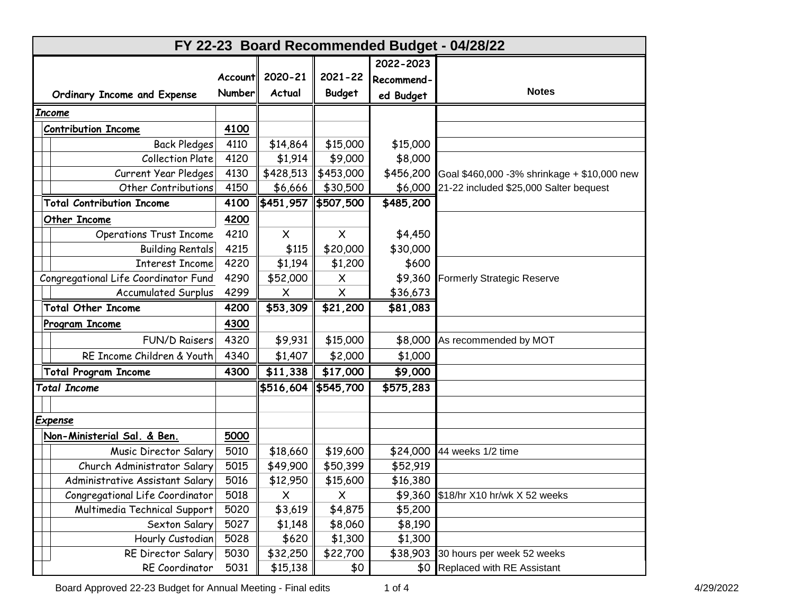| FY 22-23 Board Recommended Budget - 04/28/22 |                  |           |               |            |                                             |
|----------------------------------------------|------------------|-----------|---------------|------------|---------------------------------------------|
|                                              |                  |           |               | 2022-2023  |                                             |
|                                              | <b>Accountll</b> | 2020-21   | $2021 - 22$   | Recommend- |                                             |
| Ordinary Income and Expense                  | <b>Number</b>    | Actual    | <b>Budget</b> | ed Budget  | <b>Notes</b>                                |
| <b>Income</b>                                |                  |           |               |            |                                             |
| <b>Contribution Income</b>                   | 4100             |           |               |            |                                             |
| <b>Back Pledges</b>                          | 4110             | \$14,864  | \$15,000      | \$15,000   |                                             |
| <b>Collection Plate</b>                      | 4120             | \$1,914   | \$9,000       | \$8,000    |                                             |
| <b>Current Year Pledges</b>                  | 4130             | \$428,513 | \$453,000     | \$456,200  | Goal \$460,000 -3% shrinkage + \$10,000 new |
| Other Contributions                          | 4150             | \$6,666   | \$30,500      | \$6,000    | 21-22 included \$25,000 Salter bequest      |
| <b>Total Contribution Income</b>             | 4100             | \$451,957 | \$507,500     | \$485,200  |                                             |
| Other Income                                 | 4200             |           |               |            |                                             |
| <b>Operations Trust Income</b>               | 4210             | $\times$  | $\times$      | \$4,450    |                                             |
| <b>Building Rentals</b>                      | 4215             | \$115     | \$20,000      | \$30,000   |                                             |
| <b>Interest Income</b>                       | 4220             | \$1,194   | \$1,200       | \$600      |                                             |
| Congregational Life Coordinator Fund         | 4290             | \$52,000  | $\times$      | \$9,360    | <b>Formerly Strategic Reserve</b>           |
| <b>Accumulated Surplus</b>                   | 4299             | X         | $\times$      | \$36,673   |                                             |
| <b>Total Other Income</b>                    | 4200             | \$53,309  | \$21,200      | \$81,083   |                                             |
| Program Income                               | 4300             |           |               |            |                                             |
| <b>FUN/D Raisers</b>                         | 4320             | \$9,931   | \$15,000      | \$8,000    | As recommended by MOT                       |
| RE Income Children & Youth                   | 4340             | \$1,407   | \$2,000       | \$1,000    |                                             |
| <b>Total Program Income</b>                  | 4300             | \$11,338  | \$17,000      | \$9,000    |                                             |
| <b>Total Income</b>                          |                  | \$516,604 | \$545,700     | \$575,283  |                                             |
|                                              |                  |           |               |            |                                             |
| <b>Expense</b>                               |                  |           |               |            |                                             |
| Non-Ministerial Sal. & Ben.                  | 5000             |           |               |            |                                             |
| Music Director Salary                        | 5010             | \$18,660  | \$19,600      | \$24,000   | 44 weeks 1/2 time                           |
| Church Administrator Salary                  | 5015             | \$49,900  | \$50,399      | \$52,919   |                                             |
| Administrative Assistant Salary              | 5016             | \$12,950  | \$15,600      | \$16,380   |                                             |
| Congregational Life Coordinator              | 5018             | X         | X             | \$9,360    | \$18/hr X10 hr/wk X 52 weeks                |
| Multimedia Technical Support                 | 5020             | \$3,619   | \$4,875       | \$5,200    |                                             |
| Sexton Salary                                | 5027             | \$1,148   | \$8,060       | \$8,190    |                                             |
| Hourly Custodian                             | 5028             | \$620     | \$1,300       | \$1,300    |                                             |
| RE Director Salary                           | 5030             | \$32,250  | \$22,700      | \$38,903   | 30 hours per week 52 weeks                  |
| RE Coordinator                               | 5031             | \$15,138  | \$0           | \$0        | Replaced with RE Assistant                  |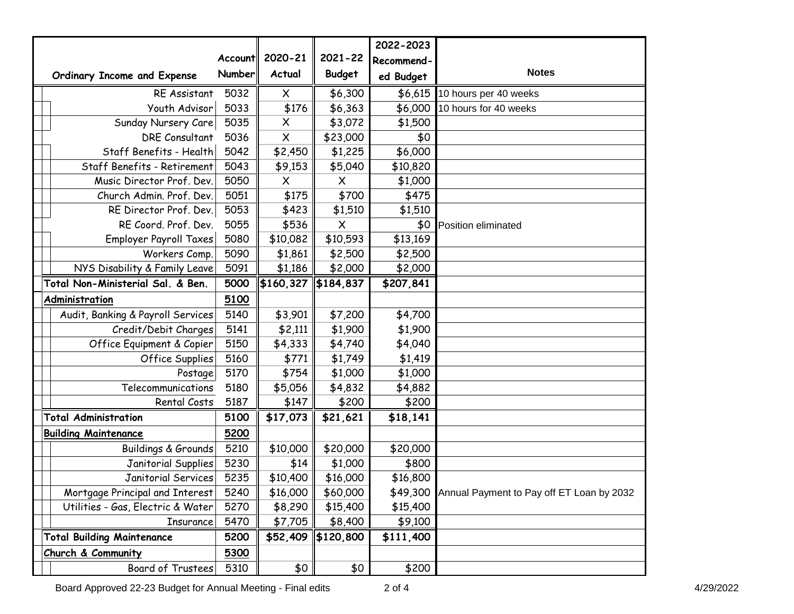|                                   |         |                       |                      | 2022-2023  |                                           |
|-----------------------------------|---------|-----------------------|----------------------|------------|-------------------------------------------|
|                                   | Account | 2020-21               | $2021 - 22$          | Recommend- |                                           |
| Ordinary Income and Expense       | Number  | Actual                | <b>Budget</b>        | ed Budget  | <b>Notes</b>                              |
| RE Assistant                      | 5032    | X                     | \$6,300              | \$6,615    | 10 hours per 40 weeks                     |
| Youth Advisor                     | 5033    | \$176                 | \$6,363              | \$6,000    | 10 hours for 40 weeks                     |
| Sunday Nursery Care               | 5035    | $\times$              | \$3,072              | \$1,500    |                                           |
| DRE Consultant                    | 5036    | X                     | \$23,000             | \$0        |                                           |
| Staff Benefits - Health           | 5042    | \$2,450               | \$1,225              | \$6,000    |                                           |
| Staff Benefits - Retirement       | 5043    | \$9,153               | \$5,040              | \$10,820   |                                           |
| Music Director Prof. Dev.         | 5050    | X                     | X                    | \$1,000    |                                           |
| Church Admin. Prof. Dev.          | 5051    | \$175                 | \$700                | \$475      |                                           |
| RE Director Prof. Dev.            | 5053    | \$423                 | \$1,510              | \$1,510    |                                           |
| RE Coord. Prof. Dev.              | 5055    | \$536                 | $\times$             | \$0        | Position eliminated                       |
| <b>Employer Payroll Taxes</b>     | 5080    | \$10,082              | \$10,593             | \$13,169   |                                           |
| Workers Comp.                     | 5090    | \$1,861               | \$2,500              | \$2,500    |                                           |
| NYS Disability & Family Leave     | 5091    | \$1,186               | \$2,000              | \$2,000    |                                           |
| Total Non-Ministerial Sal. & Ben. | 5000    | \$160,327   \$184,837 |                      | \$207,841  |                                           |
| Administration                    | 5100    |                       |                      |            |                                           |
| Audit, Banking & Payroll Services | 5140    | \$3,901               | \$7,200              | \$4,700    |                                           |
| Credit/Debit Charges              | 5141    | \$2,111               | \$1,900              | \$1,900    |                                           |
| Office Equipment & Copier         | 5150    | \$4,333               | \$4,740              | \$4,040    |                                           |
| Office Supplies                   | 5160    | \$771                 | \$1,749              | \$1,419    |                                           |
| Postage                           | 5170    | \$754                 | \$1,000              | \$1,000    |                                           |
| Telecommunications                | 5180    | \$5,056               | \$4,832              | \$4,882    |                                           |
| Rental Costs                      | 5187    | \$147                 | \$200                | \$200      |                                           |
| <b>Total Administration</b>       | 5100    | \$17,073              | $\overline{$}21,621$ | \$18,141   |                                           |
| <b>Building Maintenance</b>       | 5200    |                       |                      |            |                                           |
| <b>Buildings &amp; Grounds</b>    | 5210    | \$10,000              | \$20,000             | \$20,000   |                                           |
| Janitorial Supplies               | 5230    | \$14                  | \$1,000              | \$800      |                                           |
| Janitorial Services               | 5235    | \$10,400              | \$16,000             | \$16,800   |                                           |
| Mortgage Principal and Interest   | 5240    | \$16,000              | \$60,000             | \$49,300   | Annual Payment to Pay off ET Loan by 2032 |
| Utilities - Gas, Electric & Water | 5270    | \$8,290               | \$15,400             | \$15,400   |                                           |
| Insurance                         | 5470    | \$7,705               | \$8,400              | \$9,100    |                                           |
| <b>Total Building Maintenance</b> | 5200    | \$52,409              | $\frac{1}{2}120,800$ | \$111,400  |                                           |
| Church & Community                | 5300    |                       |                      |            |                                           |
| Board of Trustees                 | 5310    | \$0                   | \$0                  | \$200      |                                           |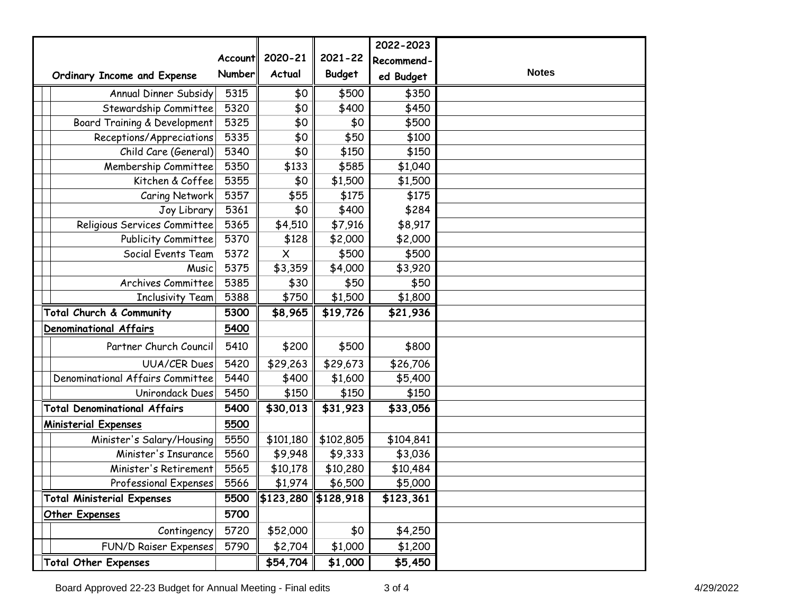|                                     |               |                       |               | 2022-2023  |              |
|-------------------------------------|---------------|-----------------------|---------------|------------|--------------|
|                                     | Account       | 2020-21               | $2021 - 22$   | Recommend- |              |
| Ordinary Income and Expense         | <b>Number</b> | Actual                | <b>Budget</b> | ed Budget  | <b>Notes</b> |
| Annual Dinner Subsidy               | 5315          | \$0                   | \$500         | \$350      |              |
| Stewardship Committee               | 5320          | \$0                   | \$400         | \$450      |              |
| Board Training & Development        | 5325          | \$0                   | \$0           | \$500      |              |
| Receptions/Appreciations            | 5335          | \$0                   | \$50          | \$100      |              |
| Child Care (General)                | 5340          | \$0                   | \$150         | \$150      |              |
| Membership Committee                | 5350          | \$133                 | \$585         | \$1,040    |              |
| Kitchen & Coffee                    | 5355          | \$0                   | \$1,500       | \$1,500    |              |
| Caring Network                      | 5357          | \$55                  | \$175         | \$175      |              |
| Joy Library                         | 5361          | \$0                   | \$400         | \$284      |              |
| Religious Services Committee        | 5365          | \$4,510               | \$7,916       | \$8,917    |              |
| Publicity Committee                 | 5370          | \$128                 | \$2,000       | \$2,000    |              |
| Social Events Team                  | 5372          | $\times$              | \$500         | \$500      |              |
| Music                               | 5375          | \$3,359               | \$4,000       | \$3,920    |              |
| Archives Committee                  | 5385          | \$30                  | \$50          | \$50       |              |
| <b>Inclusivity Team</b>             | 5388          | \$750                 | \$1,500       | \$1,800    |              |
| Total Church & Community            | 5300          | \$8,965               | \$19,726      | \$21,936   |              |
| Denominational Affairs              | 5400          |                       |               |            |              |
| Partner Church Council              | 5410          | \$200                 | \$500         | \$800      |              |
| <b>UUA/CER Dues</b>                 | 5420          | \$29,263              | \$29,673      | \$26,706   |              |
| Denominational Affairs Committee    | 5440          | \$400                 | \$1,600       | \$5,400    |              |
| Unirondack Dues                     | 5450          | \$150                 | \$150         | \$150      |              |
| <b>Total Denominational Affairs</b> | 5400          | \$30,013              | \$31,923      | \$33,056   |              |
| <b>Ministerial Expenses</b>         | 5500          |                       |               |            |              |
| Minister's Salary/Housing           | 5550          | \$101,180             | \$102,805     | \$104,841  |              |
| Minister's Insurance                | 5560          | \$9,948               | \$9,333       | \$3,036    |              |
| Minister's Retirement               | 5565          | \$10,178              | \$10,280      | \$10,484   |              |
| Professional Expenses               | 5566          | \$1,974               | \$6,500       | \$5,000    |              |
| <b>Total Ministerial Expenses</b>   | 5500          | \$123,280   \$128,918 |               | \$123,361  |              |
| Other Expenses                      | 5700          |                       |               |            |              |
| Contingency                         | 5720          | \$52,000              | \$0           | \$4,250    |              |
| <b>FUN/D Raiser Expenses</b>        | 5790          | \$2,704               | \$1,000       | \$1,200    |              |
| <b>Total Other Expenses</b>         |               | \$54,704              | \$1,000       | \$5,450    |              |